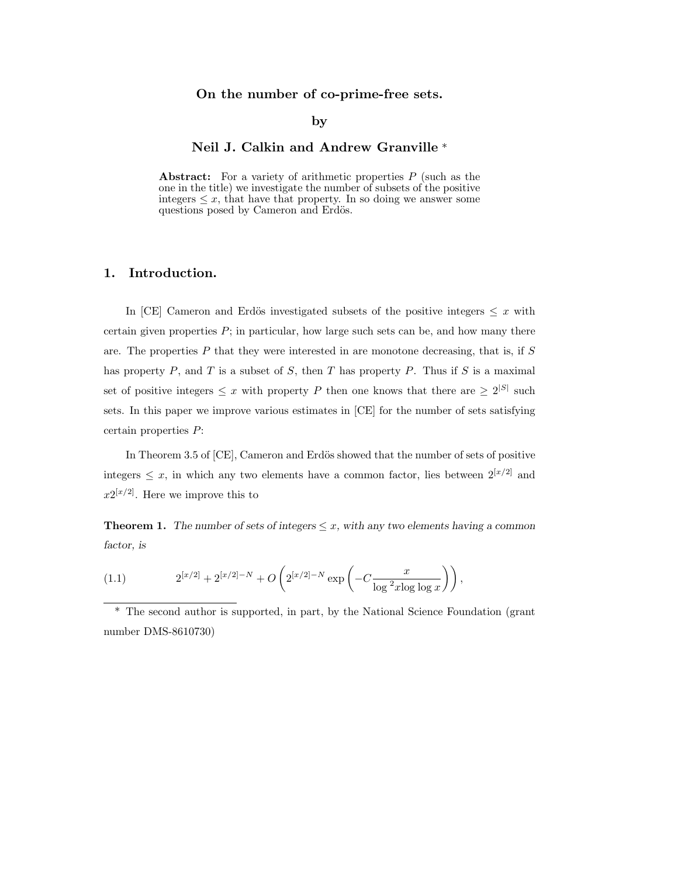# On the number of co-prime-free sets.

### by

# Neil J. Calkin and Andrew Granville \*

Abstract: For a variety of arithmetic properties  $P$  (such as the one in the title) we investigate the number of subsets of the positive integers  $\leq x$ , that have that property. In so doing we answer some questions posed by Cameron and Erdös.

# 1. Introduction.

In [CE] Cameron and Erdös investigated subsets of the positive integers  $\leq x$  with certain given properties  $P$ ; in particular, how large such sets can be, and how many there are. The properties  $P$  that they were interested in are monotone decreasing, that is, if  $S$ has property  $P$ , and  $T$  is a subset of  $S$ , then  $T$  has property  $P$ . Thus if  $S$  is a maximal set of positive integers  $\leq x$  with property P then one knows that there are  $\geq 2^{|S|}$  such sets. In this paper we improve various estimates in [CE] for the number of sets satisfying certain properties P:

In Theorem 3.5 of [CE], Cameron and Erdös showed that the number of sets of positive integers  $\leq x$ , in which any two elements have a common factor, lies between  $2^{[x/2]}$  and  $x2^{[x/2]}$ . Here we improve this to

**Theorem 1.** The number of sets of integers  $\leq x$ , with any two elements having a common factor, is

(1.1) 
$$
2^{[x/2]} + 2^{[x/2]-N} + O\left(2^{[x/2]-N} \exp\left(-C \frac{x}{\log^2 x \log \log x}\right)\right),
$$

\* The second author is supported, in part, by the National Science Foundation (grant number DMS-8610730)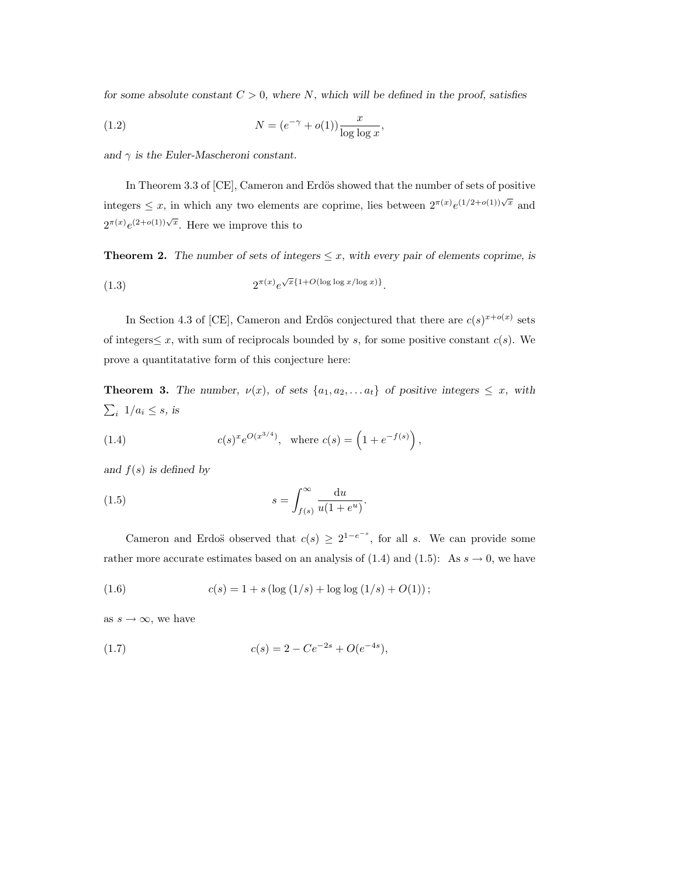for some absolute constant  $C > 0$ , where N, which will be defined in the proof, satisfies

(1.2) 
$$
N = (e^{-\gamma} + o(1)) \frac{x}{\log \log x},
$$

and  $\gamma$  is the Euler-Mascheroni constant.

In Theorem 3.3 of [CE], Cameron and Erdös showed that the number of sets of positive integers  $\leq x$ , in which any two elements are coprime, lies between  $2^{\pi(x)}e^{(1/2+o(1))\sqrt{x}}$  and  $2^{\pi(x)}e^{(2+o(1))\sqrt{x}}$ . Here we improve this to

**Theorem 2.** The number of sets of integers  $\leq x$ , with every pair of elements coprime, is

(1.3) 
$$
2^{\pi(x)}e^{\sqrt{x}\left\{1+O(\log\log x/\log x)\right\}}.
$$

In Section 4.3 of [CE], Cameron and Erdös conjectured that there are  $c(s)^{x+o(x)}$  sets of integers  $\leq x$ , with sum of reciprocals bounded by s, for some positive constant  $c(s)$ . We prove a quantitatative form of this conjecture here:

**Theorem 3.** The number,  $\nu(x)$ , of sets  $\{a_1, a_2, \ldots, a_t\}$  of positive integers  $\leq x$ , with  $\sum_i 1/a_i \leq s$ , is

(1.4) 
$$
c(s)^{x}e^{O(x^{3/4})}, \text{ where } c(s) = \left(1 + e^{-f(s)}\right),
$$

and  $f(s)$  is defined by

(1.5) 
$$
s = \int_{f(s)}^{\infty} \frac{\mathrm{d}u}{u(1+e^u)}.
$$

Cameron and Erdos observed that  $c(s) \geq 2^{1-e^{-s}}$ , for all s. We can provide some rather more accurate estimates based on an analysis of (1.4) and (1.5): As  $s \to 0$ , we have

(1.6) 
$$
c(s) = 1 + s(\log(1/s) + \log \log(1/s) + O(1));
$$

as  $s \to \infty$ , we have

(1.7) 
$$
c(s) = 2 - Ce^{-2s} + O(e^{-4s}),
$$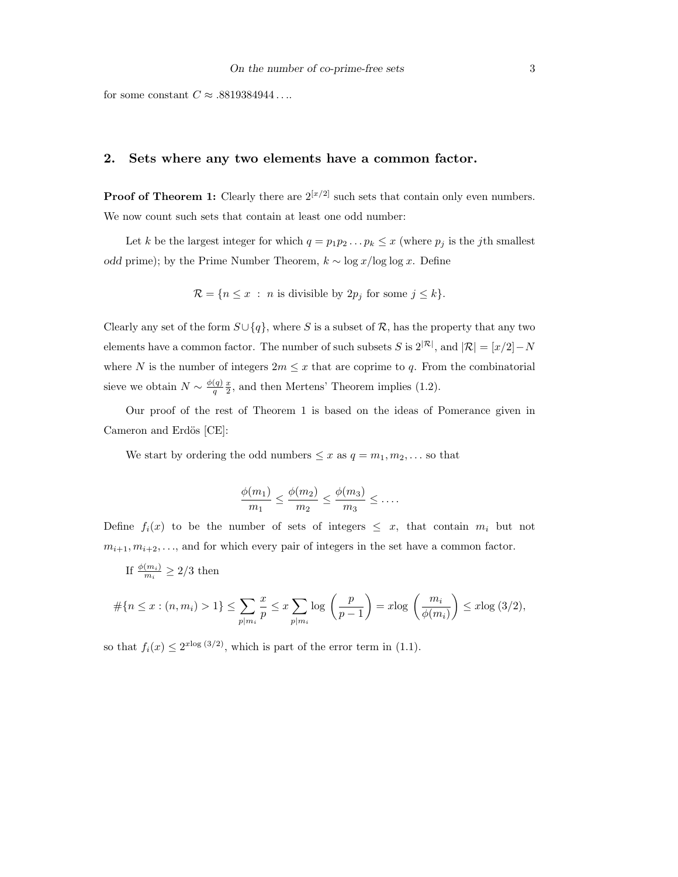for some constant  $C \approx .8819384944...$ 

## 2. Sets where any two elements have a common factor.

**Proof of Theorem 1:** Clearly there are  $2^{[x/2]}$  such sets that contain only even numbers. We now count such sets that contain at least one odd number:

Let k be the largest integer for which  $q = p_1p_2 \ldots p_k \leq x$  (where  $p_j$  is the jth smallest *odd* prime); by the Prime Number Theorem,  $k \sim \log x / \log \log x$ . Define

$$
\mathcal{R} = \{ n \le x : n \text{ is divisible by } 2p_j \text{ for some } j \le k \}.
$$

Clearly any set of the form  $S\cup \{q\}$ , where S is a subset of R, has the property that any two elements have a common factor. The number of such subsets S is  $2^{|\mathcal{R}|}$ , and  $|\mathcal{R}| = |x/2| - N$ where N is the number of integers  $2m \leq x$  that are coprime to q. From the combinatorial sieve we obtain  $N \sim \frac{\phi(q)}{q}$ q  $\overline{x}$  $\frac{x}{2}$ , and then Mertens' Theorem implies (1.2).

Our proof of the rest of Theorem 1 is based on the ideas of Pomerance given in Cameron and Erdös [CE]:

We start by ordering the odd numbers  $\leq x$  as  $q = m_1, m_2, \ldots$  so that

$$
\frac{\phi(m_1)}{m_1} \le \frac{\phi(m_2)}{m_2} \le \frac{\phi(m_3)}{m_3} \le \dots
$$

Define  $f_i(x)$  to be the number of sets of integers  $\leq x$ , that contain  $m_i$  but not  $m_{i+1}, m_{i+2}, \ldots$ , and for which every pair of integers in the set have a common factor.

If 
$$
\frac{\phi(m_i)}{m_i} \geq 2/3
$$
 then

$$
\#\{n \le x : (n, m_i) > 1\} \le \sum_{p|m_i} \frac{x}{p} \le x \sum_{p|m_i} \log\left(\frac{p}{p-1}\right) = x \log\left(\frac{m_i}{\phi(m_i)}\right) \le x \log\left(3/2\right),
$$

so that  $f_i(x) \leq 2^{x \log(3/2)}$ , which is part of the error term in (1.1).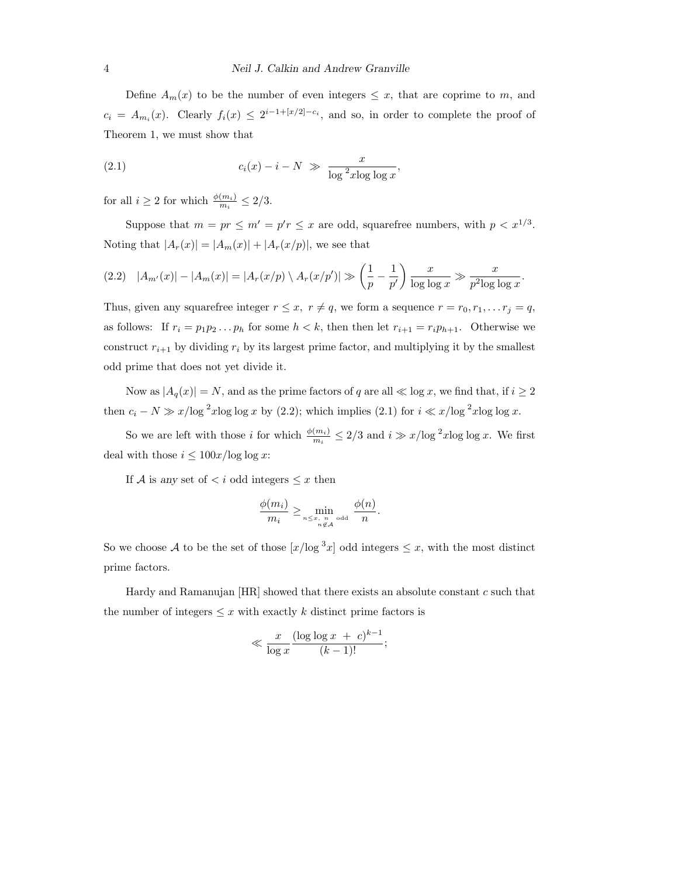Define  $A_m(x)$  to be the number of even integers  $\leq x$ , that are coprime to m, and  $c_i = A_{m_i}(x)$ . Clearly  $f_i(x) \leq 2^{i-1+[x/2]-c_i}$ , and so, in order to complete the proof of Theorem 1, we must show that

(2.1) 
$$
c_i(x) - i - N \gg \frac{x}{\log^2 x \log \log x},
$$

for all  $i \geq 2$  for which  $\frac{\phi(m_i)}{m_i} \leq 2/3$ .

Suppose that  $m = pr \le m' = p'r \le x$  are odd, squarefree numbers, with  $p < x^{1/3}$ . Noting that  $|A_r(x)| = |A_m(x)| + |A_r(x/p)|$ , we see that

$$
(2.2) \quad |A_{m'}(x)| - |A_m(x)| = |A_r(x/p) \setminus A_r(x/p')| \gg \left(\frac{1}{p} - \frac{1}{p'}\right) \frac{x}{\log \log x} \gg \frac{x}{p^2 \log \log x}.
$$

Thus, given any squarefree integer  $r \leq x$ ,  $r \neq q$ , we form a sequence  $r = r_0, r_1, \ldots r_j = q$ , as follows: If  $r_i = p_1 p_2 ... p_h$  for some  $h < k$ , then then let  $r_{i+1} = r_i p_{h+1}$ . Otherwise we construct  $r_{i+1}$  by dividing  $r_i$  by its largest prime factor, and multiplying it by the smallest odd prime that does not yet divide it.

Now as  $|A_q(x)| = N$ , and as the prime factors of q are all  $\ll \log x$ , we find that, if  $i \geq 2$ then  $c_i - N \gg x/\log^2 x \log \log x$  by (2.2); which implies (2.1) for  $i \ll x/\log^2 x \log \log x$ .

So we are left with those *i* for which  $\frac{\phi(m_i)}{m_i} \leq 2/3$  and  $i \gg x/\log^2 x \log \log x$ . We first deal with those  $i \leq 100x/{\log\log x}$  :

If A is any set of  *odd integers*  $\leq x$  *then* 

$$
\frac{\phi(m_i)}{m_i} \ge \min_{n \le x, n \text{ odd}} \frac{\phi(n)}{n}.
$$

So we choose A to be the set of those  $[x/\log^3 x]$  odd integers  $\leq x$ , with the most distinct prime factors.

Hardy and Ramanujan [HR] showed that there exists an absolute constant c such that the number of integers  $\leq x$  with exactly k distinct prime factors is

$$
\ll \frac{x}{\log x} \frac{(\log \log x + c)^{k-1}}{(k-1)!};
$$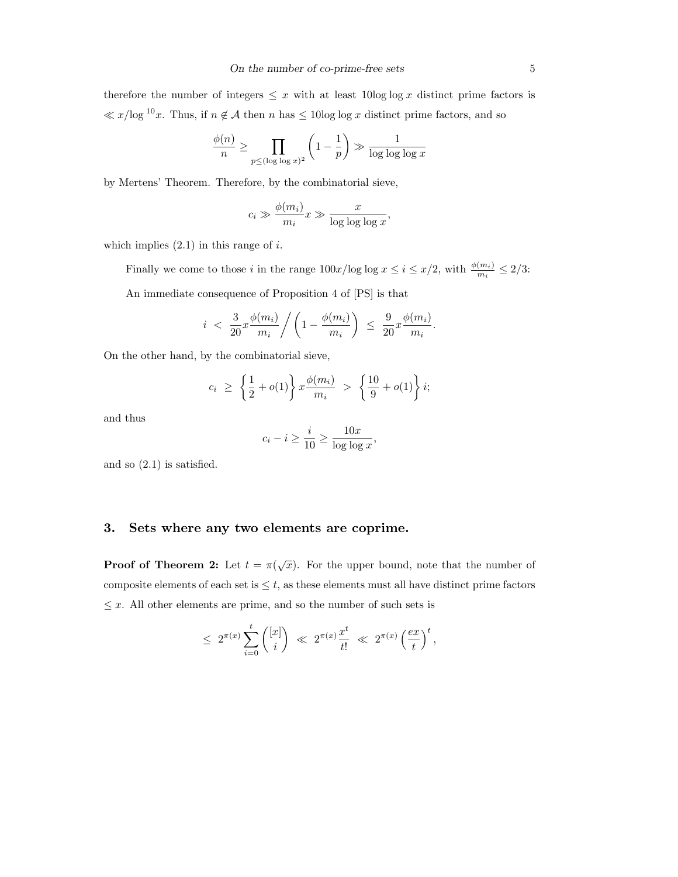therefore the number of integers  $\leq x$  with at least 10log log x distinct prime factors is  $\ll x/\log^{10}x$ . Thus, if  $n \notin \mathcal{A}$  then n has  $\leq 10\log \log x$  distinct prime factors, and so

$$
\frac{\phi(n)}{n} \ge \prod_{p \le (\log \log x)^2} \left(1 - \frac{1}{p}\right) \gg \frac{1}{\log \log \log x}
$$

by Mertens' Theorem. Therefore, by the combinatorial sieve,

$$
c_i \gg \frac{\phi(m_i)}{m_i} x \gg \frac{x}{\log \log \log x},
$$

which implies  $(2.1)$  in this range of i.

Finally we come to those i in the range  $100x/\log \log x \leq i \leq x/2$ , with  $\frac{\phi(m_i)}{m_i} \leq 2/3$ : An immediate consequence of Proposition 4 of [PS] is that

$$
i < \frac{3}{20}x\frac{\phi(m_i)}{m_i} / \left(1 - \frac{\phi(m_i)}{m_i}\right) \leq \frac{9}{20}x\frac{\phi(m_i)}{m_i}.
$$

On the other hand, by the combinatorial sieve,

$$
c_i \ge \left\{ \frac{1}{2} + o(1) \right\} x \frac{\phi(m_i)}{m_i} > \left\{ \frac{10}{9} + o(1) \right\} i;
$$

and thus

$$
c_i - i \ge \frac{i}{10} \ge \frac{10x}{\log \log x},
$$

and so (2.1) is satisfied.

# 3. Sets where any two elements are coprime.

**Proof of Theorem 2:** Let  $t = \pi(r)$ √  $\overline{x}$ ). For the upper bound, note that the number of composite elements of each set is  $\leq t$ , as these elements must all have distinct prime factors  $\leq x$ . All other elements are prime, and so the number of such sets is

$$
\leq 2^{\pi(x)} \sum_{i=0}^t \binom{[x]}{i} \ll 2^{\pi(x)} \frac{x^t}{t!} \ll 2^{\pi(x)} \left(\frac{ex}{t}\right)^t,
$$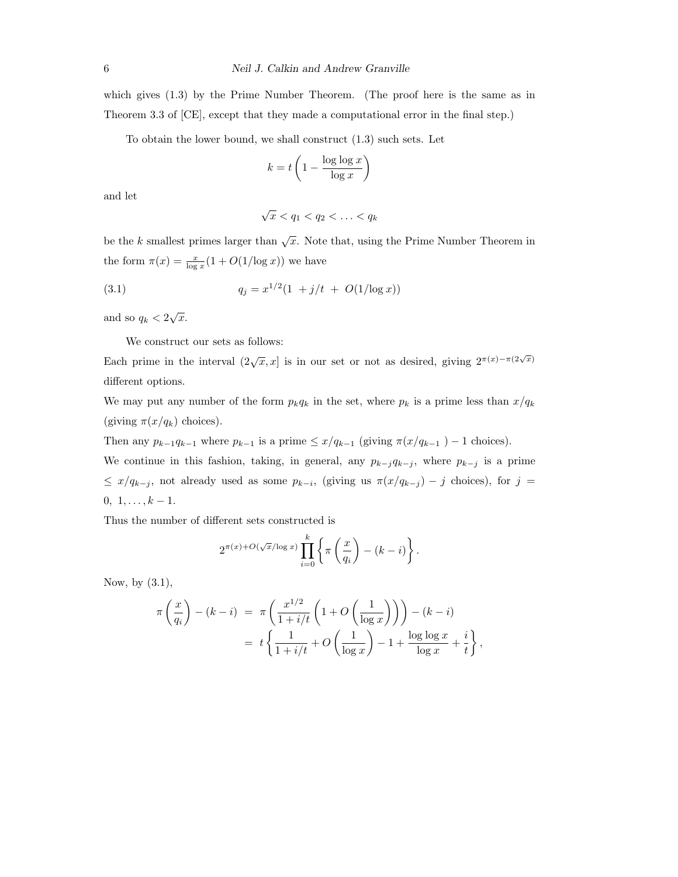which gives  $(1.3)$  by the Prime Number Theorem. (The proof here is the same as in Theorem 3.3 of [CE], except that they made a computational error in the final step.)

To obtain the lower bound, we shall construct (1.3) such sets. Let

$$
k = t \left( 1 - \frac{\log \log x}{\log x} \right)
$$

and let

$$
\sqrt{x} < q_1 < q_2 < \ldots < q_k
$$

be the k smallest primes larger than  $\sqrt{x}$ . Note that, using the Prime Number Theorem in the form  $\pi(x) = \frac{x}{\log x}(1 + O(1/\log x))$  we have

(3.1) 
$$
q_j = x^{1/2} (1 + j/t + O(1/\log x))
$$

and so  $q_k < 2$ √  $\overline{x}$ .

We construct our sets as follows:

Each prime in the interval  $(2\sqrt{x}, x]$  is in our set or not as desired, giving  $2^{\pi(x)-\pi(2\sqrt{x})}$ different options.

We may put any number of the form  $p_kq_k$  in the set, where  $p_k$  is a prime less than  $x/q_k$ (giving  $\pi(x/q_k)$  choices).

Then any  $p_{k-1}q_{k-1}$  where  $p_{k-1}$  is a prime  $\leq x/q_{k-1}$  (giving  $\pi(x/q_{k-1}) - 1$  choices).

We continue in this fashion, taking, in general, any  $p_{k-j}q_{k-j}$ , where  $p_{k-j}$  is a prime  $\leq x/q_{k-j}$ , not already used as some  $p_{k-i}$ , (giving us  $\pi(x/q_{k-j}) - j$  choices), for  $j =$  $0, 1, \ldots, k-1.$ 

Thus the number of different sets constructed is

$$
2^{\pi(x)+O(\sqrt{x}/\log x)}\prod_{i=0}^k\left\{\pi\left(\frac{x}{q_i}\right)-(k-i)\right\}.
$$

Now, by (3.1),

$$
\pi\left(\frac{x}{q_i}\right) - (k-i) = \pi\left(\frac{x^{1/2}}{1+i/t}\left(1+O\left(\frac{1}{\log x}\right)\right)\right) - (k-i)
$$

$$
= t\left\{\frac{1}{1+i/t} + O\left(\frac{1}{\log x}\right) - 1 + \frac{\log\log x}{\log x} + \frac{i}{t}\right\},\,
$$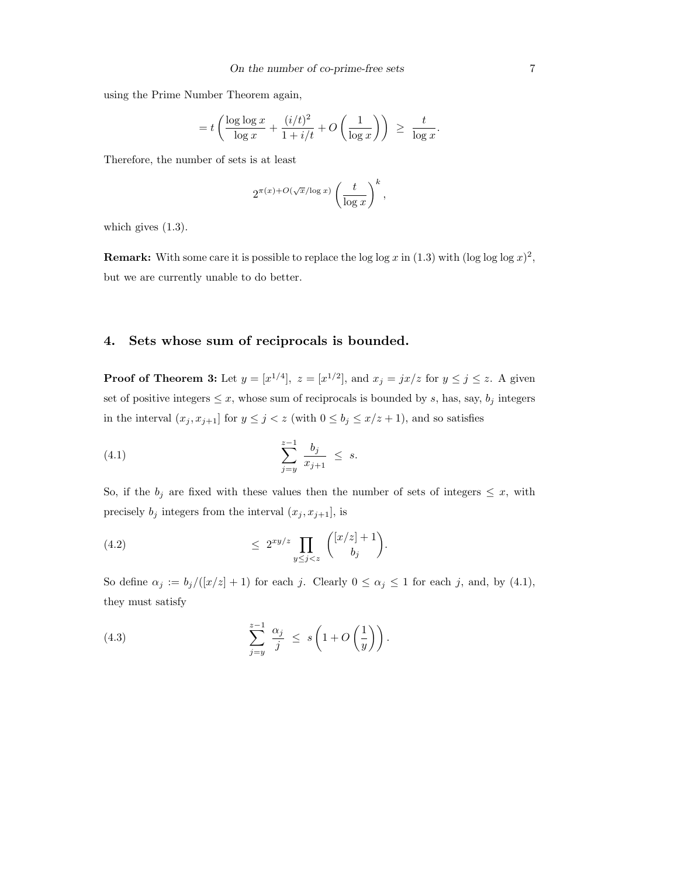using the Prime Number Theorem again,

$$
= t \left( \frac{\log \log x}{\log x} + \frac{(i/t)^2}{1 + i/t} + O\left(\frac{1}{\log x}\right) \right) \ge \frac{t}{\log x}.
$$

Therefore, the number of sets is at least

$$
2^{\pi(x)+O(\sqrt{x}/\log x)}\left(\frac{t}{\log x}\right)^k,
$$

which gives  $(1.3)$ .

**Remark:** With some care it is possible to replace the log log x in (1.3) with (log log  $x$ )<sup>2</sup>, but we are currently unable to do better.

# 4. Sets whose sum of reciprocals is bounded.

**Proof of Theorem 3:** Let  $y = [x^{1/4}]$ ,  $z = [x^{1/2}]$ , and  $x_j = jx/z$  for  $y \le j \le z$ . A given set of positive integers  $\leq x$ , whose sum of reciprocals is bounded by s, has, say,  $b_j$  integers in the interval  $(x_j, x_{j+1}]$  for  $y \leq j < z$  (with  $0 \leq b_j \leq x/z + 1$ ), and so satisfies

(4.1) 
$$
\sum_{j=y}^{z-1} \frac{b_j}{x_{j+1}} \leq s.
$$

So, if the  $b_j$  are fixed with these values then the number of sets of integers  $\leq x$ , with precisely  $b_j$  integers from the interval  $(x_j, x_{j+1}]$ , is

$$
\leq 2^{xy/z} \prod_{y \leq j < z} \binom{[x/z] + 1}{b_j}.
$$

So define  $\alpha_j := b_j/([x/z] + 1)$  for each j. Clearly  $0 \le \alpha_j \le 1$  for each j, and, by (4.1), they must satisfy

(4.3) 
$$
\sum_{j=y}^{z-1} \frac{\alpha_j}{j} \leq s \left( 1 + O\left(\frac{1}{y}\right) \right).
$$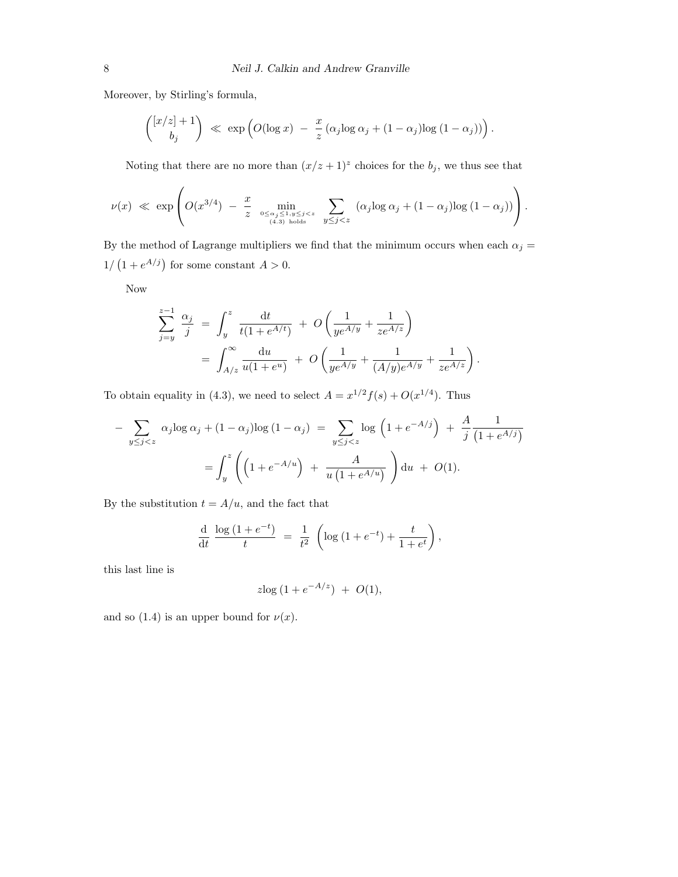Moreover, by Stirling's formula,

$$
\binom{[x/z]+1}{b_j} \ll \exp\left(O(\log x) - \frac{x}{z} (\alpha_j \log \alpha_j + (1-\alpha_j)\log(1-\alpha_j))\right).
$$

Noting that there are no more than  $(x/z + 1)^z$  choices for the  $b_j$ , we thus see that

$$
\nu(x) \ll \exp\left( O(x^{3/4}) - \frac{x}{z} \min_{0 \leq \alpha_j \leq 1, y \leq j < z \atop (4.3) \text{ holds}} \sum_{y \leq j < z} (\alpha_j \log \alpha_j + (1 - \alpha_j) \log (1 - \alpha_j)) \right).
$$

By the method of Lagrange multipliers we find that the minimum occurs when each  $\alpha_j =$  $1/\left(1+e^{A/j}\right)$  for some constant  $A>0$ .

Now

$$
\sum_{j=y}^{z-1} \frac{\alpha_j}{j} = \int_y^z \frac{\mathrm{d}t}{t(1 + e^{A/t})} + O\left(\frac{1}{ye^{A/y}} + \frac{1}{ze^{A/z}}\right)
$$
  
= 
$$
\int_{A/z}^{\infty} \frac{\mathrm{d}u}{u(1 + e^u)} + O\left(\frac{1}{ye^{A/y}} + \frac{1}{(A/y)e^{A/y}} + \frac{1}{ze^{A/z}}\right).
$$

To obtain equality in (4.3), we need to select  $A = x^{1/2} f(s) + O(x^{1/4})$ . Thus

$$
-\sum_{y \le j < z} \alpha_j \log \alpha_j + (1 - \alpha_j) \log (1 - \alpha_j) = \sum_{y \le j < z} \log \left( 1 + e^{-A/j} \right) + \frac{A}{j} \frac{1}{(1 + e^{A/j})}
$$
\n
$$
= \int_y^z \left( \left( 1 + e^{-A/u} \right) + \frac{A}{u \left( 1 + e^{A/u} \right)} \right) du + O(1).
$$

By the substitution  $t=A/u,$  and the fact that

$$
\frac{d}{dt} \frac{\log (1 + e^{-t})}{t} = \frac{1}{t^2} \left( \log (1 + e^{-t}) + \frac{t}{1 + e^t} \right),
$$

this last line is

$$
z\log(1 + e^{-A/z}) + O(1),
$$

and so (1.4) is an upper bound for  $\nu(x)$ .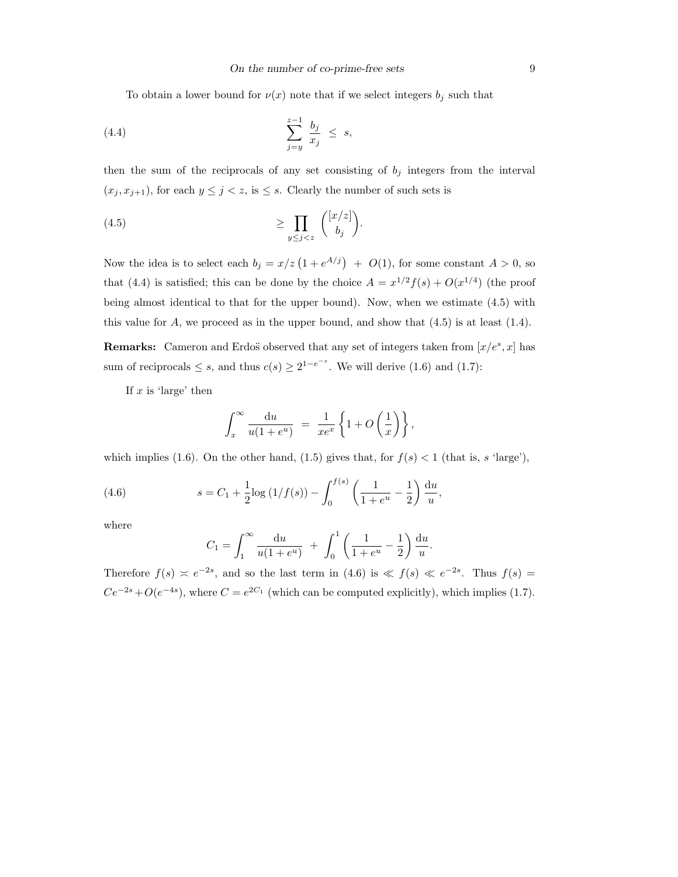To obtain a lower bound for  $\nu(x)$  note that if we select integers  $b_i$  such that

$$
\sum_{j=y}^{z-1} \frac{b_j}{x_j} \leq s,
$$

then the sum of the reciprocals of any set consisting of  $b_j$  integers from the interval  $(x_j, x_{j+1})$ , for each  $y \leq j < z$ , is  $\leq s$ . Clearly the number of such sets is

$$
\geq \prod_{y \leq j < z} \binom{[x/z]}{b_j}.
$$

Now the idea is to select each  $b_j = x/z(1 + e^{A/j}) + O(1)$ , for some constant  $A > 0$ , so that (4.4) is satisfied; this can be done by the choice  $A = x^{1/2} f(s) + O(x^{1/4})$  (the proof being almost identical to that for the upper bound). Now, when we estimate (4.5) with this value for  $A$ , we proceed as in the upper bound, and show that  $(4.5)$  is at least  $(1.4)$ .

**Remarks:** Cameron and Erdos observed that any set of integers taken from  $[x/e^s, x]$  has sum of reciprocals  $\leq s$ , and thus  $c(s) \geq 2^{1-e^{-s}}$ . We will derive (1.6) and (1.7):

If  $x$  is 'large' then

$$
\int_x^{\infty} \frac{\mathrm{d}u}{u(1+e^u)} = \frac{1}{xe^x} \left\{ 1 + O\left(\frac{1}{x}\right) \right\},\,
$$

which implies (1.6). On the other hand, (1.5) gives that, for  $f(s) < 1$  (that is, s 'large'),

(4.6) 
$$
s = C_1 + \frac{1}{2}\log(1/f(s)) - \int_0^{f(s)} \left(\frac{1}{1+e^u} - \frac{1}{2}\right) \frac{du}{u},
$$

where

$$
C_1 = \int_1^{\infty} \frac{\mathrm{d}u}{u(1+e^u)} + \int_0^1 \left(\frac{1}{1+e^u} - \frac{1}{2}\right) \frac{\mathrm{d}u}{u}.
$$

Therefore  $f(s) \approx e^{-2s}$ , and so the last term in (4.6) is  $\ll f(s) \ll e^{-2s}$ . Thus  $f(s) =$  $Ce^{-2s} + O(e^{-4s})$ , where  $C = e^{2C_1}$  (which can be computed explicitly), which implies (1.7).